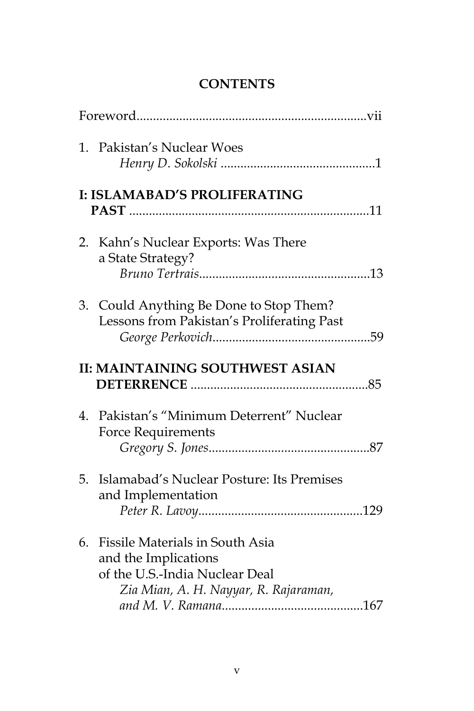## **CONTENTS**

|    | 1. Pakistan's Nuclear Woes                                                                                                         |  |
|----|------------------------------------------------------------------------------------------------------------------------------------|--|
|    | I: ISLAMABAD'S PROLIFERATING                                                                                                       |  |
|    | 2. Kahn's Nuclear Exports: Was There<br>a State Strategy?                                                                          |  |
|    | 3. Could Anything Be Done to Stop Them?<br>Lessons from Pakistan's Proliferating Past                                              |  |
|    | <b>II: MAINTAINING SOUTHWEST ASIAN</b>                                                                                             |  |
| 4. | Pakistan's "Minimum Deterrent" Nuclear<br><b>Force Requirements</b>                                                                |  |
| 5. | Islamabad's Nuclear Posture: Its Premises<br>and Implementation                                                                    |  |
| 6. | Fissile Materials in South Asia<br>and the Implications<br>of the U.S.-India Nuclear Deal<br>Zia Mian, A. H. Nayyar, R. Rajaraman, |  |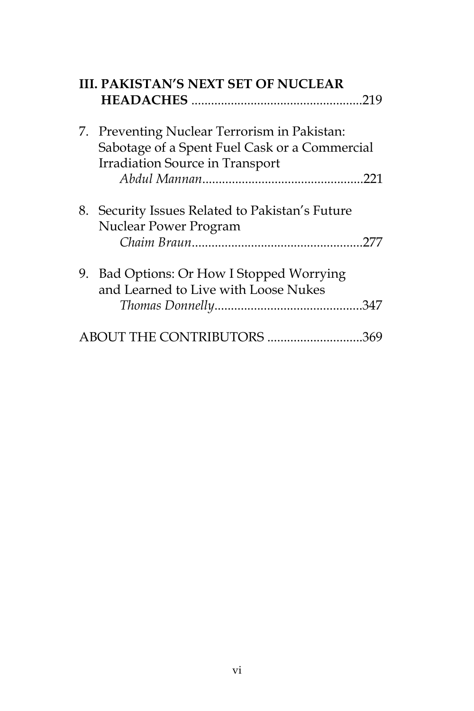| <b>III. PAKISTAN'S NEXT SET OF NUCLEAR</b> |                                                                                               |  |
|--------------------------------------------|-----------------------------------------------------------------------------------------------|--|
|                                            |                                                                                               |  |
|                                            | 7. Preventing Nuclear Terrorism in Pakistan:<br>Sabotage of a Spent Fuel Cask or a Commercial |  |
|                                            | <b>Irradiation Source in Transport</b>                                                        |  |
| 8.                                         | Security Issues Related to Pakistan's Future<br><b>Nuclear Power Program</b>                  |  |
|                                            | 9. Bad Options: Or How I Stopped Worrying<br>and Learned to Live with Loose Nukes             |  |
|                                            | BOUT THE CONTRIBUTORS 369                                                                     |  |